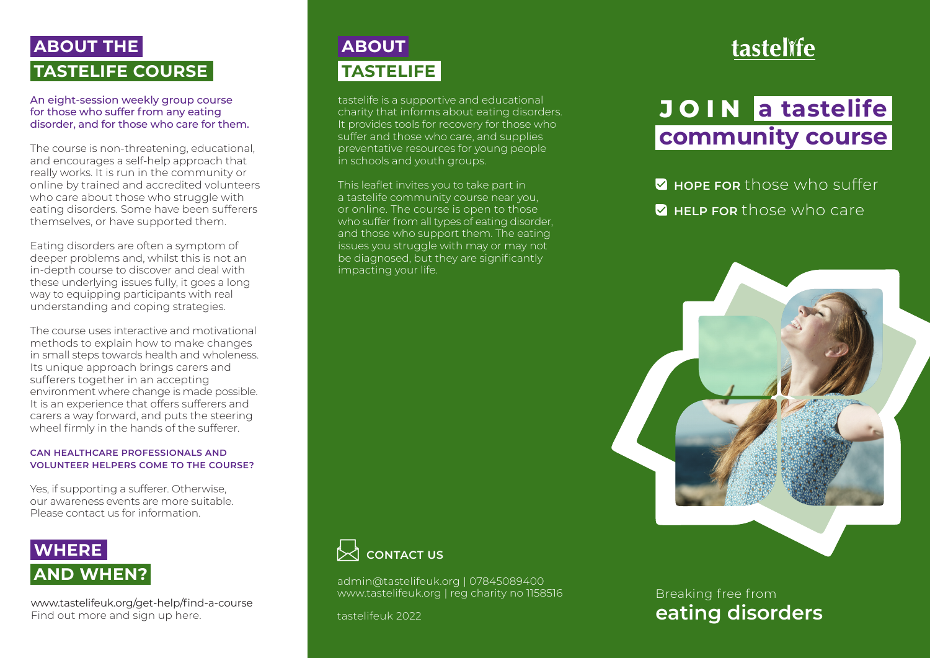# **TASTELIFE COURSE ABOUT THE**

An eight-session weekly group course for those who suffer from any eating disorder, and for those who care for them.

The course is non-threatening, educational, and encourages a self-help approach that really works. It is run in the community or online by trained and accredited volunteers who care about those who struggle with eating disorders. Some have been sufferers themselves, or have supported them.

Eating disorders are often a symptom of deeper problems and, whilst this is not an in-depth course to discover and deal with these underlying issues fully, it goes a long way to equipping participants with real understanding and coping strategies.

The course uses interactive and motivational methods to explain how to make changes in small steps towards health and wholeness. Its unique approach brings carers and sufferers together in an accepting environment where change is made possible. It is an experience that offers sufferers and carers a way forward, and puts the steering wheel firmly in the hands of the sufferer.

#### **CAN HEALTHCARE PROFESSIONALS AND VOLUNTEER HELPERS COME TO THE COURSE?**

Yes, if supporting a sufferer. Otherwise, our awareness events are more suitable. Please contact us for information.

## **AND WHEN? WHERE**

www.tastelifeuk.org/get-help/find-a-course Find out more and sign up here.

# **TASTELIFE ABOUT**

tastelife is a supportive and educational charity that informs about eating disorders. It provides tools for recovery for those who suffer and those who care, and supplies preventative resources for young people in schools and youth groups.

This leaflet invites you to take part in a tastelife community course near you, or online. The course is open to those who suffer from all types of eating disorder, and those who support them. The eating issues you struggle with may or may not be diagnosed, but they are significantly impacting your life.

# tastelĭfe

# **community course JOIN a tastelife**

**HOPE FOR** those who suffer **HELP FOR** those who care





admin@tastelifeuk.org | 07845089400 www.tastelifeuk.org | reg charity no 1158516

tastelifeuk 2022

### **eating disorders** Breaking free from